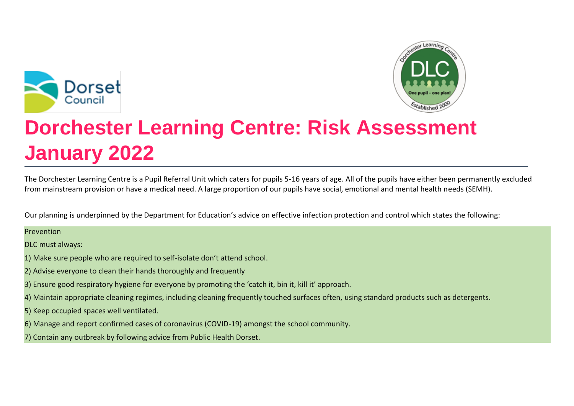



# **Dorchester Learning Centre: Risk Assessment January 2022**

The Dorchester Learning Centre is a Pupil Referral Unit which caters for pupils 5-16 years of age. All of the pupils have either been permanently excluded from mainstream provision or have a medical need. A large proportion of our pupils have social, emotional and mental health needs (SEMH).

Our planning is underpinned by the Department for Education's advice on effective infection protection and control which states the following:

## Prevention

DLC must always:

- 1) Make sure people who are required to self-isolate don't attend school.
- 2) Advise everyone to clean their hands thoroughly and frequently
- 3) Ensure good respiratory hygiene for everyone by promoting the 'catch it, bin it, kill it' approach.
- 4) Maintain appropriate cleaning regimes, including cleaning frequently touched surfaces often, using standard products such as detergents.
- 5) Keep occupied spaces well ventilated.
- 6) Manage and report confirmed cases of coronavirus (COVID-19) amongst the school community.
- 7) Contain any outbreak by following advice from Public Health Dorset.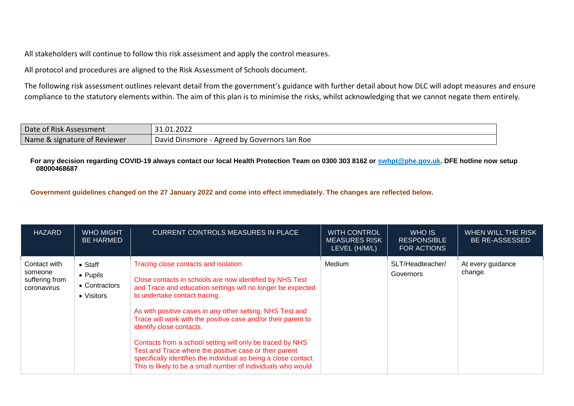All stakeholders will continue to follow this risk assessment and apply the control measures.

All protocol and procedures are aligned to the Risk Assessment of Schools document.

The following risk assessment outlines relevant detail from the government's guidance with further detail about how DLC will adopt measures and ensure compliance to the statutory elements within. The aim of this plan is to minimise the risks, whilst acknowledging that we cannot negate them entirely.

| Date of Risk Assessment      | 31.01.2022                                   |
|------------------------------|----------------------------------------------|
| Name & signature of Reviewer | David Dinsmore - Agreed by Governors Ian Roe |

#### **For any decision regarding COVID-19 always contact our local Health Protection Team on 0300 303 8162 or [swhpt@phe.gov.uk.](mailto:swhpt@phe.gov.uk) DFE hotline now setup 08000468687**

**Government guidelines changed on the 27 January 2022 and come into effect immediately. The changes are reflected below.**

| <b>HAZARD</b>                                            | <b>WHO MIGHT</b><br><b>BE HARMED</b>                       | <b>CURRENT CONTROLS MEASURES IN PLACE</b>                                                                                                                                                                                                                                                                                                                                                                                                                                                                                                                                                                             | <b>WITH CONTROL</b><br><b>MEASURES RISK</b><br>LEVEL (H/M/L) | WHO IS<br><b>RESPONSIBLE</b><br><b>FOR ACTIONS</b> | WHEN WILL THE RISK<br><b>BE RE-ASSESSED</b> |
|----------------------------------------------------------|------------------------------------------------------------|-----------------------------------------------------------------------------------------------------------------------------------------------------------------------------------------------------------------------------------------------------------------------------------------------------------------------------------------------------------------------------------------------------------------------------------------------------------------------------------------------------------------------------------------------------------------------------------------------------------------------|--------------------------------------------------------------|----------------------------------------------------|---------------------------------------------|
| Contact with<br>someone<br>suffering from<br>coronavirus | $\bullet$ Staff<br>• Pupils<br>• Contractors<br>• Visitors | Tracing close contacts and isolation<br>Close contacts in schools are now identified by NHS Test<br>and Trace and education settings will no longer be expected<br>to undertake contact tracing.<br>As with positive cases in any other setting, NHS Test and<br>Trace will work with the positive case and/or their parent to<br>identify close contacts.<br>Contacts from a school setting will only be traced by NHS<br>Test and Trace where the positive case or their parent<br>specifically identifies the individual as being a close contact.<br>This is likely to be a small number of individuals who would | Medium                                                       | SLT/Headteacher/<br>Governors                      | At every guidance<br>change.                |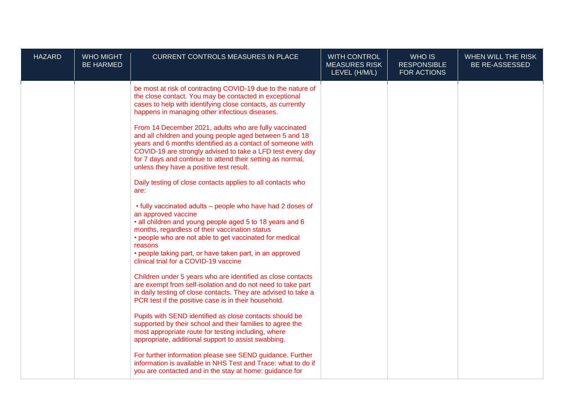| <b>HAZARD</b> | <b>WHO MIGHT</b><br><b>BE HARMED</b> | <b>CURRENT CONTROLS MEASURES IN PLACE</b>                                                                                                                                                                                                                                                                                                                                                                                                                                                                                                                                                                                                                                                                                                                                                                                                                                                                        | <b>WITH CONTROL</b><br><b>MEASURES RISK</b><br>LEVEL (H/M/L) | WHO IS<br><b>RESPONSIBLE</b><br>FOR ACTIONS | WHEN WILL THE RISK<br>BE RE-ASSESSED |
|---------------|--------------------------------------|------------------------------------------------------------------------------------------------------------------------------------------------------------------------------------------------------------------------------------------------------------------------------------------------------------------------------------------------------------------------------------------------------------------------------------------------------------------------------------------------------------------------------------------------------------------------------------------------------------------------------------------------------------------------------------------------------------------------------------------------------------------------------------------------------------------------------------------------------------------------------------------------------------------|--------------------------------------------------------------|---------------------------------------------|--------------------------------------|
|               |                                      | be most at risk of contracting COVID-19 due to the nature of<br>the close contact. You may be contacted in exceptional<br>cases to help with identifying close contacts, as currently<br>happens in managing other infectious diseases.<br>From 14 December 2021, adults who are fully vaccinated<br>and all children and young people aged between 5 and 18<br>years and 6 months identified as a contact of someone with<br>COVID-19 are strongly advised to take a LFD test every day<br>for 7 days and continue to attend their setting as normal,<br>unless they have a positive test result.<br>Daily testing of close contacts applies to all contacts who<br>are:<br>• fully vaccinated adults – people who have had 2 doses of<br>an approved vaccine<br>• all children and young people aged 5 to 18 years and 6                                                                                       |                                                              |                                             |                                      |
|               |                                      | months, regardless of their vaccination status<br>• people who are not able to get vaccinated for medical<br>reasons<br>• people taking part, or have taken part, in an approved<br>clinical trial for a COVID-19 vaccine<br>Children under 5 years who are identified as close contacts<br>are exempt from self-isolation and do not need to take part<br>in daily testing of close contacts. They are advised to take a<br>PCR test if the positive case is in their household.<br>Pupils with SEND identified as close contacts should be<br>supported by their school and their families to agree the<br>most appropriate route for testing including, where<br>appropriate, additional support to assist swabbing.<br>For further information please see SEND guidance. Further<br>information is available in NHS Test and Trace: what to do if<br>you are contacted and in the stay at home: guidance for |                                                              |                                             |                                      |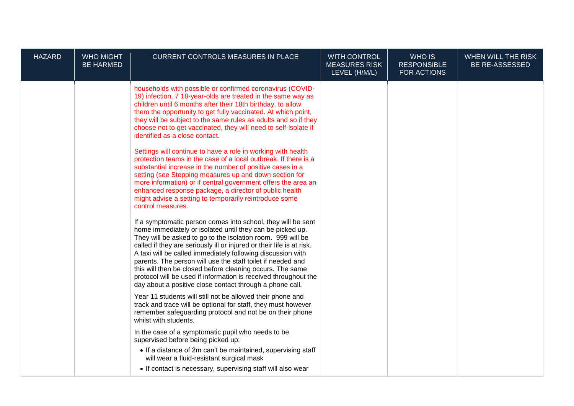| <b>HAZARD</b> | <b>WHO MIGHT</b><br><b>BE HARMED</b> | CURRENT CONTROLS MEASURES IN PLACE                                                                                                                                                                                                                                                                                                                                                                                                                                                                                                                                                          | <b>WITH CONTROL</b><br><b>MEASURES RISK</b><br>LEVEL (H/M/L) | WHO IS<br><b>RESPONSIBLE</b><br>FOR ACTIONS | WHEN WILL THE RISK<br>BE RE-ASSESSED |
|---------------|--------------------------------------|---------------------------------------------------------------------------------------------------------------------------------------------------------------------------------------------------------------------------------------------------------------------------------------------------------------------------------------------------------------------------------------------------------------------------------------------------------------------------------------------------------------------------------------------------------------------------------------------|--------------------------------------------------------------|---------------------------------------------|--------------------------------------|
|               |                                      | households with possible or confirmed coronavirus (COVID-<br>19) infection. 7 18-year-olds are treated in the same way as<br>children until 6 months after their 18th birthday, to allow<br>them the opportunity to get fully vaccinated. At which point,<br>they will be subject to the same rules as adults and so if they<br>choose not to get vaccinated, they will need to self-isolate if<br>identified as a close contact.                                                                                                                                                           |                                                              |                                             |                                      |
|               |                                      | Settings will continue to have a role in working with health<br>protection teams in the case of a local outbreak. If there is a<br>substantial increase in the number of positive cases in a<br>setting (see Stepping measures up and down section for<br>more information) or if central government offers the area an<br>enhanced response package, a director of public health<br>might advise a setting to temporarily reintroduce some<br>control measures.                                                                                                                            |                                                              |                                             |                                      |
|               |                                      | If a symptomatic person comes into school, they will be sent<br>home immediately or isolated until they can be picked up.<br>They will be asked to go to the isolation room. 999 will be<br>called if they are seriously ill or injured or their life is at risk.<br>A taxi will be called immediately following discussion with<br>parents. The person will use the staff toilet if needed and<br>this will then be closed before cleaning occurs. The same<br>protocol will be used if information is received throughout the<br>day about a positive close contact through a phone call. |                                                              |                                             |                                      |
|               |                                      | Year 11 students will still not be allowed their phone and<br>track and trace will be optional for staff, they must however<br>remember safeguarding protocol and not be on their phone<br>whilst with students.                                                                                                                                                                                                                                                                                                                                                                            |                                                              |                                             |                                      |
|               |                                      | In the case of a symptomatic pupil who needs to be<br>supervised before being picked up:                                                                                                                                                                                                                                                                                                                                                                                                                                                                                                    |                                                              |                                             |                                      |
|               |                                      | • If a distance of 2m can't be maintained, supervising staff<br>will wear a fluid-resistant surgical mask                                                                                                                                                                                                                                                                                                                                                                                                                                                                                   |                                                              |                                             |                                      |
|               |                                      | • If contact is necessary, supervising staff will also wear                                                                                                                                                                                                                                                                                                                                                                                                                                                                                                                                 |                                                              |                                             |                                      |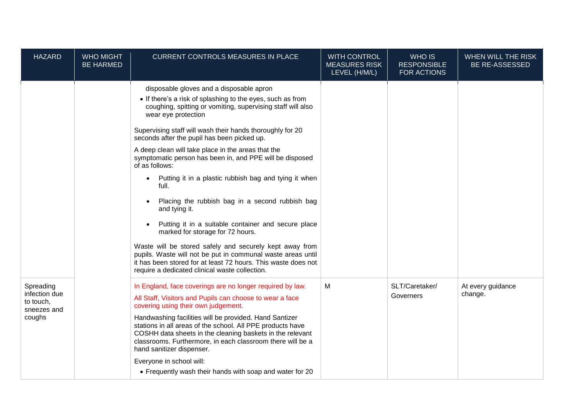| <b>HAZARD</b>                                                    | <b>WHO MIGHT</b><br><b>BE HARMED</b> | CURRENT CONTROLS MEASURES IN PLACE                                                                                                                                                                                                                                                                       | <b>WITH CONTROL</b><br><b>MEASURES RISK</b><br>LEVEL (H/M/L) | WHO IS<br><b>RESPONSIBLE</b><br>FOR ACTIONS | WHEN WILL THE RISK<br><b>BE RE-ASSESSED</b> |
|------------------------------------------------------------------|--------------------------------------|----------------------------------------------------------------------------------------------------------------------------------------------------------------------------------------------------------------------------------------------------------------------------------------------------------|--------------------------------------------------------------|---------------------------------------------|---------------------------------------------|
|                                                                  |                                      | disposable gloves and a disposable apron<br>• If there's a risk of splashing to the eyes, such as from<br>coughing, spitting or vomiting, supervising staff will also<br>wear eye protection<br>Supervising staff will wash their hands thoroughly for 20<br>seconds after the pupil has been picked up. |                                                              |                                             |                                             |
|                                                                  |                                      | A deep clean will take place in the areas that the<br>symptomatic person has been in, and PPE will be disposed<br>of as follows:                                                                                                                                                                         |                                                              |                                             |                                             |
|                                                                  |                                      | Putting it in a plastic rubbish bag and tying it when<br>full.                                                                                                                                                                                                                                           |                                                              |                                             |                                             |
|                                                                  |                                      | Placing the rubbish bag in a second rubbish bag<br>and tying it.                                                                                                                                                                                                                                         |                                                              |                                             |                                             |
|                                                                  |                                      | Putting it in a suitable container and secure place<br>marked for storage for 72 hours.                                                                                                                                                                                                                  |                                                              |                                             |                                             |
|                                                                  |                                      | Waste will be stored safely and securely kept away from<br>pupils. Waste will not be put in communal waste areas until<br>it has been stored for at least 72 hours. This waste does not<br>require a dedicated clinical waste collection.                                                                |                                                              |                                             |                                             |
| Spreading<br>infection due<br>to touch,<br>sneezes and<br>coughs |                                      | In England, face coverings are no longer required by law.<br>All Staff, Visitors and Pupils can choose to wear a face<br>covering using their own judgement.                                                                                                                                             | M                                                            | SLT/Caretaker/<br>Governers                 | At every guidance<br>change.                |
|                                                                  |                                      | Handwashing facilities will be provided. Hand Santizer<br>stations in all areas of the school. All PPE products have<br>COSHH data sheets in the cleaning baskets in the relevant<br>classrooms. Furthermore, in each classroom there will be a<br>hand sanitizer dispenser.                             |                                                              |                                             |                                             |
|                                                                  |                                      | Everyone in school will:<br>• Frequently wash their hands with soap and water for 20                                                                                                                                                                                                                     |                                                              |                                             |                                             |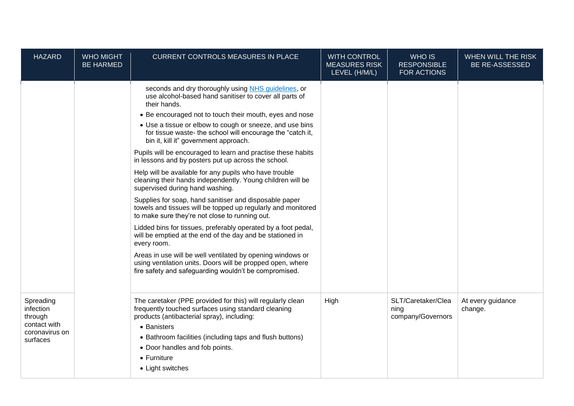| <b>HAZARD</b>                                                                   | <b>WHO MIGHT</b><br><b>BE HARMED</b> | CURRENT CONTROLS MEASURES IN PLACE                                                                                                                                                                                                                                                                                                                                                                                                                                                                                                                                                                                                                                                                                                                                                                                                                                                                                                                                                                                                                                                                                                                          | <b>WITH CONTROL</b><br><b>MEASURES RISK</b><br>LEVEL (H/M/L) | WHO IS<br><b>RESPONSIBLE</b><br>FOR ACTIONS     | WHEN WILL THE RISK<br><b>BE RE-ASSESSED</b> |
|---------------------------------------------------------------------------------|--------------------------------------|-------------------------------------------------------------------------------------------------------------------------------------------------------------------------------------------------------------------------------------------------------------------------------------------------------------------------------------------------------------------------------------------------------------------------------------------------------------------------------------------------------------------------------------------------------------------------------------------------------------------------------------------------------------------------------------------------------------------------------------------------------------------------------------------------------------------------------------------------------------------------------------------------------------------------------------------------------------------------------------------------------------------------------------------------------------------------------------------------------------------------------------------------------------|--------------------------------------------------------------|-------------------------------------------------|---------------------------------------------|
|                                                                                 |                                      | seconds and dry thoroughly using NHS guidelines, or<br>use alcohol-based hand sanitiser to cover all parts of<br>their hands.<br>• Be encouraged not to touch their mouth, eyes and nose<br>• Use a tissue or elbow to cough or sneeze, and use bins<br>for tissue waste- the school will encourage the "catch it,<br>bin it, kill it" government approach.<br>Pupils will be encouraged to learn and practise these habits<br>in lessons and by posters put up across the school.<br>Help will be available for any pupils who have trouble<br>cleaning their hands independently. Young children will be<br>supervised during hand washing.<br>Supplies for soap, hand sanitiser and disposable paper<br>towels and tissues will be topped up regularly and monitored<br>to make sure they're not close to running out.<br>Lidded bins for tissues, preferably operated by a foot pedal,<br>will be emptied at the end of the day and be stationed in<br>every room.<br>Areas in use will be well ventilated by opening windows or<br>using ventilation units. Doors will be propped open, where<br>fire safety and safeguarding wouldn't be compromised. |                                                              |                                                 |                                             |
| Spreading<br>infection<br>through<br>contact with<br>coronavirus on<br>surfaces |                                      | The caretaker (PPE provided for this) will regularly clean<br>frequently touched surfaces using standard cleaning<br>products (antibacterial spray), including:<br>• Banisters<br>• Bathroom facilities (including taps and flush buttons)<br>• Door handles and fob points.<br>$\bullet$ Furniture<br>• Light switches                                                                                                                                                                                                                                                                                                                                                                                                                                                                                                                                                                                                                                                                                                                                                                                                                                     | High                                                         | SLT/Caretaker/Clea<br>ning<br>company/Governors | At every guidance<br>change.                |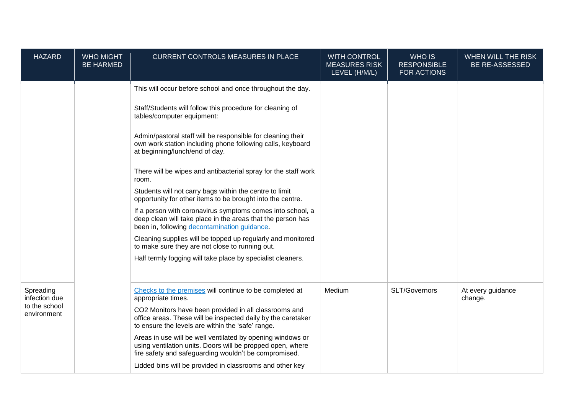| <b>HAZARD</b>                | <b>WHO MIGHT</b><br><b>BE HARMED</b> | <b>CURRENT CONTROLS MEASURES IN PLACE</b>                                                                                                                                         | <b>WITH CONTROL</b><br><b>MEASURES RISK</b><br>LEVEL (H/M/L) | WHO IS<br><b>RESPONSIBLE</b><br>FOR ACTIONS | WHEN WILL THE RISK<br><b>BE RE-ASSESSED</b> |
|------------------------------|--------------------------------------|-----------------------------------------------------------------------------------------------------------------------------------------------------------------------------------|--------------------------------------------------------------|---------------------------------------------|---------------------------------------------|
|                              |                                      | This will occur before school and once throughout the day.                                                                                                                        |                                                              |                                             |                                             |
|                              |                                      | Staff/Students will follow this procedure for cleaning of<br>tables/computer equipment:                                                                                           |                                                              |                                             |                                             |
|                              |                                      | Admin/pastoral staff will be responsible for cleaning their<br>own work station including phone following calls, keyboard<br>at beginning/lunch/end of day.                       |                                                              |                                             |                                             |
|                              |                                      | There will be wipes and antibacterial spray for the staff work<br>room.                                                                                                           |                                                              |                                             |                                             |
|                              |                                      | Students will not carry bags within the centre to limit<br>opportunity for other items to be brought into the centre.                                                             |                                                              |                                             |                                             |
|                              |                                      | If a person with coronavirus symptoms comes into school, a<br>deep clean will take place in the areas that the person has<br>been in, following decontamination guidance.         |                                                              |                                             |                                             |
|                              |                                      | Cleaning supplies will be topped up regularly and monitored<br>to make sure they are not close to running out.                                                                    |                                                              |                                             |                                             |
|                              |                                      | Half termly fogging will take place by specialist cleaners.                                                                                                                       |                                                              |                                             |                                             |
| Spreading<br>infection due   |                                      | Checks to the premises will continue to be completed at<br>appropriate times.                                                                                                     | Medium                                                       | SLT/Governors                               | At every guidance<br>change.                |
| to the school<br>environment |                                      | CO2 Monitors have been provided in all classrooms and<br>office areas. These will be inspected daily by the caretaker<br>to ensure the levels are within the 'safe' range.        |                                                              |                                             |                                             |
|                              |                                      | Areas in use will be well ventilated by opening windows or<br>using ventilation units. Doors will be propped open, where<br>fire safety and safeguarding wouldn't be compromised. |                                                              |                                             |                                             |
|                              |                                      | Lidded bins will be provided in classrooms and other key                                                                                                                          |                                                              |                                             |                                             |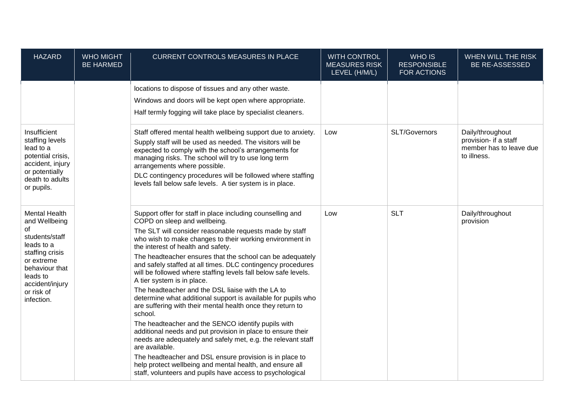| <b>HAZARD</b>                                                                                                                                                                             | <b>WHO MIGHT</b><br><b>BE HARMED</b> | <b>CURRENT CONTROLS MEASURES IN PLACE</b>                                                                                                                                                                                                                                                                                                                                                                                                                                                                                                                                                                                                                                                                                                                                                                                                                                                                                                                                                                                                                                     | <b>WITH CONTROL</b><br><b>MEASURES RISK</b><br>LEVEL (H/M/L) | WHO IS<br><b>RESPONSIBLE</b><br>FOR ACTIONS | WHEN WILL THE RISK<br><b>BE RE-ASSESSED</b>                                         |
|-------------------------------------------------------------------------------------------------------------------------------------------------------------------------------------------|--------------------------------------|-------------------------------------------------------------------------------------------------------------------------------------------------------------------------------------------------------------------------------------------------------------------------------------------------------------------------------------------------------------------------------------------------------------------------------------------------------------------------------------------------------------------------------------------------------------------------------------------------------------------------------------------------------------------------------------------------------------------------------------------------------------------------------------------------------------------------------------------------------------------------------------------------------------------------------------------------------------------------------------------------------------------------------------------------------------------------------|--------------------------------------------------------------|---------------------------------------------|-------------------------------------------------------------------------------------|
|                                                                                                                                                                                           |                                      | locations to dispose of tissues and any other waste.<br>Windows and doors will be kept open where appropriate.<br>Half termly fogging will take place by specialist cleaners.                                                                                                                                                                                                                                                                                                                                                                                                                                                                                                                                                                                                                                                                                                                                                                                                                                                                                                 |                                                              |                                             |                                                                                     |
| Insufficient<br>staffing levels<br>lead to a<br>potential crisis,<br>accident, injury<br>or potentially<br>death to adults<br>or pupils.                                                  |                                      | Staff offered mental health wellbeing support due to anxiety.<br>Supply staff will be used as needed. The visitors will be<br>expected to comply with the school's arrangements for<br>managing risks. The school will try to use long term<br>arrangements where possible.<br>DLC contingency procedures will be followed where staffing<br>levels fall below safe levels. A tier system is in place.                                                                                                                                                                                                                                                                                                                                                                                                                                                                                                                                                                                                                                                                        | Low                                                          | SLT/Governors                               | Daily/throughout<br>provision- if a staff<br>member has to leave due<br>to illness. |
| <b>Mental Health</b><br>and Wellbeing<br>of<br>students/staff<br>leads to a<br>staffing crisis<br>or extreme<br>behaviour that<br>leads to<br>accident/injury<br>or risk of<br>infection. |                                      | Support offer for staff in place including counselling and<br>COPD on sleep and wellbeing.<br>The SLT will consider reasonable requests made by staff<br>who wish to make changes to their working environment in<br>the interest of health and safety.<br>The headteacher ensures that the school can be adequately<br>and safely staffed at all times. DLC contingency procedures<br>will be followed where staffing levels fall below safe levels.<br>A tier system is in place.<br>The headteacher and the DSL liaise with the LA to<br>determine what additional support is available for pupils who<br>are suffering with their mental health once they return to<br>school.<br>The headteacher and the SENCO identify pupils with<br>additional needs and put provision in place to ensure their<br>needs are adequately and safely met, e.g. the relevant staff<br>are available.<br>The headteacher and DSL ensure provision is in place to<br>help protect wellbeing and mental health, and ensure all<br>staff, volunteers and pupils have access to psychological | Low                                                          | <b>SLT</b>                                  | Daily/throughout<br>provision                                                       |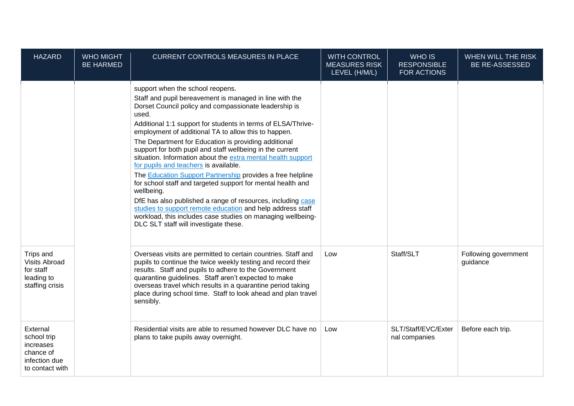| <b>HAZARD</b>                                                                         | <b>WHO MIGHT</b><br><b>BE HARMED</b> | <b>CURRENT CONTROLS MEASURES IN PLACE</b>                                                                                                                                                                                                                                                                                                                                                                                                                                                                                                                                                                                                                                                                                                                                                                                                                                                           | <b>WITH CONTROL</b><br><b>MEASURES RISK</b><br>LEVEL (H/M/L) | WHO IS<br><b>RESPONSIBLE</b><br><b>FOR ACTIONS</b> | WHEN WILL THE RISK<br>BE RE-ASSESSED |
|---------------------------------------------------------------------------------------|--------------------------------------|-----------------------------------------------------------------------------------------------------------------------------------------------------------------------------------------------------------------------------------------------------------------------------------------------------------------------------------------------------------------------------------------------------------------------------------------------------------------------------------------------------------------------------------------------------------------------------------------------------------------------------------------------------------------------------------------------------------------------------------------------------------------------------------------------------------------------------------------------------------------------------------------------------|--------------------------------------------------------------|----------------------------------------------------|--------------------------------------|
|                                                                                       |                                      | support when the school reopens.<br>Staff and pupil bereavement is managed in line with the<br>Dorset Council policy and compassionate leadership is<br>used.<br>Additional 1:1 support for students in terms of ELSA/Thrive-<br>employment of additional TA to allow this to happen.<br>The Department for Education is providing additional<br>support for both pupil and staff wellbeing in the current<br>situation. Information about the extra mental health support<br>for pupils and teachers is available.<br>The Education Support Partnership provides a free helpline<br>for school staff and targeted support for mental health and<br>wellbeing.<br>DfE has also published a range of resources, including case<br>studies to support remote education and help address staff<br>workload, this includes case studies on managing wellbeing-<br>DLC SLT staff will investigate these. |                                                              |                                                    |                                      |
| Trips and<br><b>Visits Abroad</b><br>for staff<br>leading to<br>staffing crisis       |                                      | Overseas visits are permitted to certain countries. Staff and<br>pupils to continue the twice weekly testing and record their<br>results. Staff and pupils to adhere to the Government<br>quarantine guidelines. Staff aren't expected to make<br>overseas travel which results in a quarantine period taking<br>place during school time. Staff to look ahead and plan travel<br>sensibly.                                                                                                                                                                                                                                                                                                                                                                                                                                                                                                         | Low                                                          | Staff/SLT                                          | Following government<br>guidance     |
| External<br>school trip<br>increases<br>chance of<br>infection due<br>to contact with |                                      | Residential visits are able to resumed however DLC have no<br>plans to take pupils away overnight.                                                                                                                                                                                                                                                                                                                                                                                                                                                                                                                                                                                                                                                                                                                                                                                                  | Low                                                          | SLT/Staff/EVC/Exter<br>nal companies               | Before each trip.                    |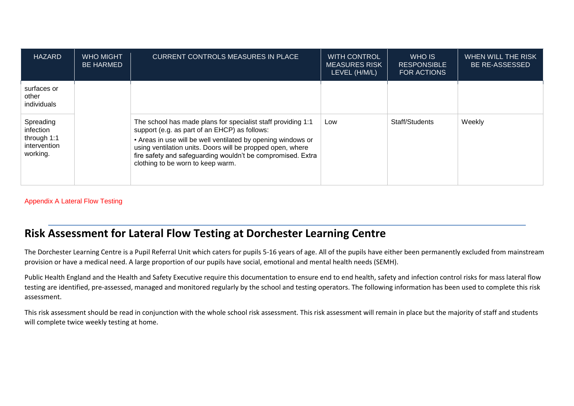| <b>HAZARD</b>                                                     | <b>WHO MIGHT</b><br><b>BE HARMED</b> | <b>CURRENT CONTROLS MEASURES IN PLACE</b>                                                                                                                                                                                                                                                                                                       | <b>WITH CONTROL</b><br><b>MEASURES RISK</b><br>LEVEL (H/M/L) | WHO IS<br><b>RESPONSIBLE</b><br>FOR ACTIONS | WHEN WILL THE RISK<br><b>BE RE-ASSESSED</b> |
|-------------------------------------------------------------------|--------------------------------------|-------------------------------------------------------------------------------------------------------------------------------------------------------------------------------------------------------------------------------------------------------------------------------------------------------------------------------------------------|--------------------------------------------------------------|---------------------------------------------|---------------------------------------------|
| surfaces or<br>other<br>individuals                               |                                      |                                                                                                                                                                                                                                                                                                                                                 |                                                              |                                             |                                             |
| Spreading<br>infection<br>through 1:1<br>intervention<br>working. |                                      | The school has made plans for specialist staff providing 1:1<br>support (e.g. as part of an EHCP) as follows:<br>• Areas in use will be well ventilated by opening windows or<br>using ventilation units. Doors will be propped open, where<br>fire safety and safeguarding wouldn't be compromised. Extra<br>clothing to be worn to keep warm. | Low                                                          | Staff/Students                              | Weekly                                      |

### Appendix A Lateral Flow Testing

# **Risk Assessment for Lateral Flow Testing at Dorchester Learning Centre**

The Dorchester Learning Centre is a Pupil Referral Unit which caters for pupils 5-16 years of age. All of the pupils have either been permanently excluded from mainstream provision or have a medical need. A large proportion of our pupils have social, emotional and mental health needs (SEMH).

Public Health England and the Health and Safety Executive require this documentation to ensure end to end health, safety and infection control risks for mass lateral flow testing are identified, pre-assessed, managed and monitored regularly by the school and testing operators. The following information has been used to complete this risk assessment.

This risk assessment should be read in conjunction with the whole school risk assessment. This risk assessment will remain in place but the majority of staff and students will complete twice weekly testing at home.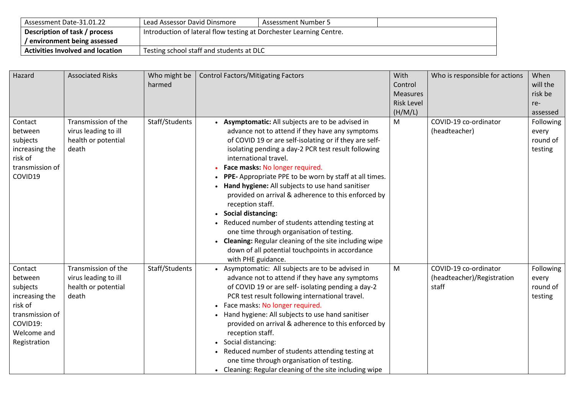| Assessment Date-31.01.22                | Lead Assessor David Dinsmore                                        | Assessment Number 5 |  |  |
|-----------------------------------------|---------------------------------------------------------------------|---------------------|--|--|
| Description of task / process           | Introduction of lateral flow testing at Dorchester Learning Centre. |                     |  |  |
| environment being assessed              |                                                                     |                     |  |  |
| <b>Activities Involved and location</b> | Testing school staff and students at DLC                            |                     |  |  |

| Hazard                                                                                                                    | <b>Associated Risks</b>                                                     | Who might be<br>harmed | <b>Control Factors/Mitigating Factors</b>                                                                                                                                                                                                                                                                                                                                                                                                                                                                                                                                                                                                                                                                                               | With<br>Control<br><b>Measures</b><br><b>Risk Level</b><br>(H/M/L) | Who is responsible for actions                               | When<br>will the<br>risk be<br>re-<br>assessed |
|---------------------------------------------------------------------------------------------------------------------------|-----------------------------------------------------------------------------|------------------------|-----------------------------------------------------------------------------------------------------------------------------------------------------------------------------------------------------------------------------------------------------------------------------------------------------------------------------------------------------------------------------------------------------------------------------------------------------------------------------------------------------------------------------------------------------------------------------------------------------------------------------------------------------------------------------------------------------------------------------------------|--------------------------------------------------------------------|--------------------------------------------------------------|------------------------------------------------|
| Contact<br>between<br>subjects<br>increasing the<br>risk of<br>transmission of<br>COVID19                                 | Transmission of the<br>virus leading to ill<br>health or potential<br>death | Staff/Students         | Asymptomatic: All subjects are to be advised in<br>advance not to attend if they have any symptoms<br>of COVID 19 or are self-isolating or if they are self-<br>isolating pending a day-2 PCR test result following<br>international travel.<br>Face masks: No longer required.<br>PPE- Appropriate PPE to be worn by staff at all times.<br>Hand hygiene: All subjects to use hand sanitiser<br>provided on arrival & adherence to this enforced by<br>reception staff.<br><b>Social distancing:</b><br>Reduced number of students attending testing at<br>one time through organisation of testing.<br>Cleaning: Regular cleaning of the site including wipe<br>down of all potential touchpoints in accordance<br>with PHE guidance. | M                                                                  | COVID-19 co-ordinator<br>(headteacher)                       | Following<br>every<br>round of<br>testing      |
| Contact<br>between<br>subjects<br>increasing the<br>risk of<br>transmission of<br>COVID19:<br>Welcome and<br>Registration | Transmission of the<br>virus leading to ill<br>health or potential<br>death | Staff/Students         | • Asymptomatic: All subjects are to be advised in<br>advance not to attend if they have any symptoms<br>of COVID 19 or are self- isolating pending a day-2<br>PCR test result following international travel.<br>Face masks: No longer required.<br>Hand hygiene: All subjects to use hand sanitiser<br>provided on arrival & adherence to this enforced by<br>reception staff.<br>Social distancing:<br>Reduced number of students attending testing at<br>one time through organisation of testing.<br>• Cleaning: Regular cleaning of the site including wipe                                                                                                                                                                        | M                                                                  | COVID-19 co-ordinator<br>(headteacher)/Registration<br>staff | Following<br>every<br>round of<br>testing      |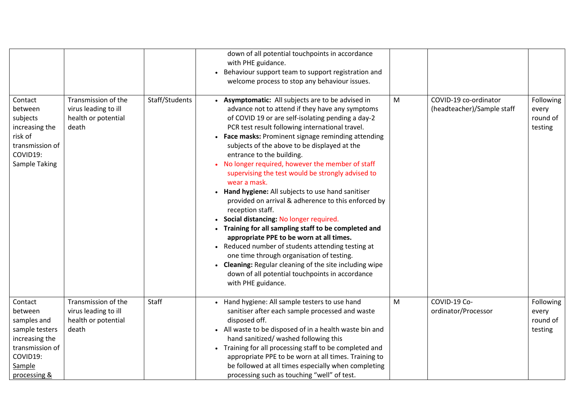|                                                                                                                                |                                                                             |                | down of all potential touchpoints in accordance<br>with PHE guidance.<br>Behaviour support team to support registration and<br>welcome process to stop any behaviour issues.                                                                                                                                                                                                                                                                                                                                                                                                                                                                                                                                                                                                                                                                                                                                                                                                              |   |                                                     |                                           |
|--------------------------------------------------------------------------------------------------------------------------------|-----------------------------------------------------------------------------|----------------|-------------------------------------------------------------------------------------------------------------------------------------------------------------------------------------------------------------------------------------------------------------------------------------------------------------------------------------------------------------------------------------------------------------------------------------------------------------------------------------------------------------------------------------------------------------------------------------------------------------------------------------------------------------------------------------------------------------------------------------------------------------------------------------------------------------------------------------------------------------------------------------------------------------------------------------------------------------------------------------------|---|-----------------------------------------------------|-------------------------------------------|
| Contact<br>between<br>subjects<br>increasing the<br>risk of<br>transmission of<br>COVID19:<br>Sample Taking                    | Transmission of the<br>virus leading to ill<br>health or potential<br>death | Staff/Students | Asymptomatic: All subjects are to be advised in<br>advance not to attend if they have any symptoms<br>of COVID 19 or are self-isolating pending a day-2<br>PCR test result following international travel.<br>Face masks: Prominent signage reminding attending<br>subjects of the above to be displayed at the<br>entrance to the building.<br>No longer required, however the member of staff<br>supervising the test would be strongly advised to<br>wear a mask.<br>Hand hygiene: All subjects to use hand sanitiser<br>provided on arrival & adherence to this enforced by<br>reception staff.<br>Social distancing: No longer required.<br>Training for all sampling staff to be completed and<br>appropriate PPE to be worn at all times.<br>Reduced number of students attending testing at<br>one time through organisation of testing.<br><b>Cleaning: Regular cleaning of the site including wipe</b><br>down of all potential touchpoints in accordance<br>with PHE guidance. | M | COVID-19 co-ordinator<br>(headteacher)/Sample staff | Following<br>every<br>round of<br>testing |
| Contact<br>between<br>samples and<br>sample testers<br>increasing the<br>transmission of<br>COVID19:<br>Sample<br>processing & | Transmission of the<br>virus leading to ill<br>health or potential<br>death | Staff          | Hand hygiene: All sample testers to use hand<br>sanitiser after each sample processed and waste<br>disposed off.<br>• All waste to be disposed of in a health waste bin and<br>hand sanitized/ washed following this<br>• Training for all processing staff to be completed and<br>appropriate PPE to be worn at all times. Training to<br>be followed at all times especially when completing<br>processing such as touching "well" of test.                                                                                                                                                                                                                                                                                                                                                                                                                                                                                                                                             | M | COVID-19 Co-<br>ordinator/Processor                 | Following<br>every<br>round of<br>testing |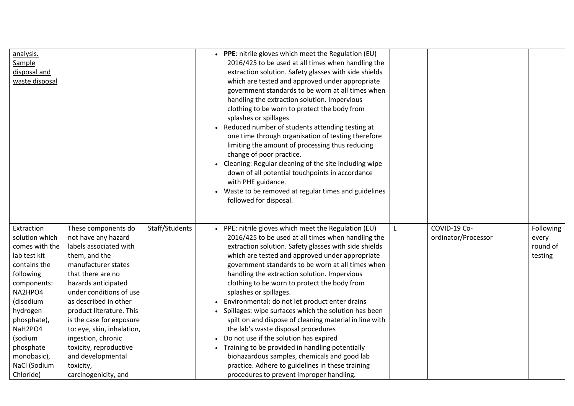| analysis.<br>Sample<br>disposal and<br>waste disposal                                                                                                                                                                                        |                                                                                                                                                                                                                                                                                                                                                                                                              |                | • PPE: nitrile gloves which meet the Regulation (EU)<br>2016/425 to be used at all times when handling the<br>extraction solution. Safety glasses with side shields<br>which are tested and approved under appropriate<br>government standards to be worn at all times when<br>handling the extraction solution. Impervious<br>clothing to be worn to protect the body from<br>splashes or spillages<br>Reduced number of students attending testing at<br>one time through organisation of testing therefore<br>limiting the amount of processing thus reducing<br>change of poor practice.<br>• Cleaning: Regular cleaning of the site including wipe<br>down of all potential touchpoints in accordance<br>with PHE guidance.<br>Waste to be removed at regular times and guidelines<br>followed for disposal.                                             |                                     |                                           |
|----------------------------------------------------------------------------------------------------------------------------------------------------------------------------------------------------------------------------------------------|--------------------------------------------------------------------------------------------------------------------------------------------------------------------------------------------------------------------------------------------------------------------------------------------------------------------------------------------------------------------------------------------------------------|----------------|---------------------------------------------------------------------------------------------------------------------------------------------------------------------------------------------------------------------------------------------------------------------------------------------------------------------------------------------------------------------------------------------------------------------------------------------------------------------------------------------------------------------------------------------------------------------------------------------------------------------------------------------------------------------------------------------------------------------------------------------------------------------------------------------------------------------------------------------------------------|-------------------------------------|-------------------------------------------|
| Extraction<br>solution which<br>comes with the<br>lab test kit<br>contains the<br>following<br>components:<br>NA2HPO4<br>(disodium<br>hydrogen<br>phosphate),<br>NaH2PO4<br>(sodium<br>phosphate<br>monobasic),<br>NaCl (Sodium<br>Chloride) | These components do<br>not have any hazard<br>labels associated with<br>them, and the<br>manufacturer states<br>that there are no<br>hazards anticipated<br>under conditions of use<br>as described in other<br>product literature. This<br>is the case for exposure<br>to: eye, skin, inhalation,<br>ingestion, chronic<br>toxicity, reproductive<br>and developmental<br>toxicity,<br>carcinogenicity, and | Staff/Students | • PPE: nitrile gloves which meet the Regulation (EU)<br>2016/425 to be used at all times when handling the<br>extraction solution. Safety glasses with side shields<br>which are tested and approved under appropriate<br>government standards to be worn at all times when<br>handling the extraction solution. Impervious<br>clothing to be worn to protect the body from<br>splashes or spillages.<br>Environmental: do not let product enter drains<br>Spillages: wipe surfaces which the solution has been<br>spilt on and dispose of cleaning material in line with<br>the lab's waste disposal procedures<br>Do not use if the solution has expired<br>Training to be provided in handling potentially<br>biohazardous samples, chemicals and good lab<br>practice. Adhere to guidelines in these training<br>procedures to prevent improper handling. | COVID-19 Co-<br>ordinator/Processor | Following<br>every<br>round of<br>testing |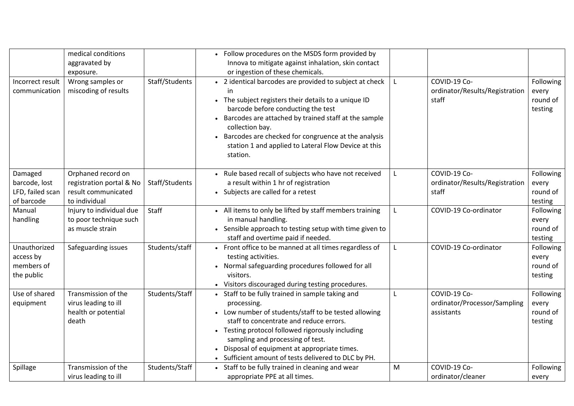| Incorrect result<br>communication                          | medical conditions<br>aggravated by<br>exposure.<br>Wrong samples or<br>miscoding of results | Staff/Students | Follow procedures on the MSDS form provided by<br>Innova to mitigate against inhalation, skin contact<br>or ingestion of these chemicals.<br>• 2 identical barcodes are provided to subject at check<br>in<br>• The subject registers their details to a unique ID<br>barcode before conducting the test<br>Barcodes are attached by trained staff at the sample<br>collection bay.<br>Barcodes are checked for congruence at the analysis<br>station 1 and applied to Lateral Flow Device at this<br>station. |   | COVID-19 Co-<br>ordinator/Results/Registration<br>staff    | Following<br>every<br>round of<br>testing |
|------------------------------------------------------------|----------------------------------------------------------------------------------------------|----------------|----------------------------------------------------------------------------------------------------------------------------------------------------------------------------------------------------------------------------------------------------------------------------------------------------------------------------------------------------------------------------------------------------------------------------------------------------------------------------------------------------------------|---|------------------------------------------------------------|-------------------------------------------|
| Damaged<br>barcode, lost<br>LFD, failed scan<br>of barcode | Orphaned record on<br>registration portal & No<br>result communicated<br>to individual       | Staff/Students | • Rule based recall of subjects who have not received<br>a result within 1 hr of registration<br>• Subjects are called for a retest                                                                                                                                                                                                                                                                                                                                                                            |   | COVID-19 Co-<br>ordinator/Results/Registration<br>staff    | Following<br>every<br>round of<br>testing |
| Manual<br>handling                                         | Injury to individual due<br>to poor technique such<br>as muscle strain                       | Staff          | • All items to only be lifted by staff members training<br>in manual handling.<br>• Sensible approach to testing setup with time given to<br>staff and overtime paid if needed.                                                                                                                                                                                                                                                                                                                                |   | COVID-19 Co-ordinator                                      | Following<br>every<br>round of<br>testing |
| Unauthorized<br>access by<br>members of<br>the public      | Safeguarding issues                                                                          | Students/staff | Front office to be manned at all times regardless of<br>testing activities.<br>Normal safeguarding procedures followed for all<br>visitors.<br>• Visitors discouraged during testing procedures.                                                                                                                                                                                                                                                                                                               | L | COVID-19 Co-ordinator                                      | Following<br>every<br>round of<br>testing |
| Use of shared<br>equipment                                 | Transmission of the<br>virus leading to ill<br>health or potential<br>death                  | Students/Staff | • Staff to be fully trained in sample taking and<br>processing.<br>• Low number of students/staff to be tested allowing<br>staff to concentrate and reduce errors.<br>• Testing protocol followed rigorously including<br>sampling and processing of test.<br>Disposal of equipment at appropriate times.<br>• Sufficient amount of tests delivered to DLC by PH.                                                                                                                                              |   | COVID-19 Co-<br>ordinator/Processor/Sampling<br>assistants | Following<br>every<br>round of<br>testing |
| Spillage                                                   | Transmission of the<br>virus leading to ill                                                  | Students/Staff | • Staff to be fully trained in cleaning and wear<br>appropriate PPE at all times.                                                                                                                                                                                                                                                                                                                                                                                                                              | M | COVID-19 Co-<br>ordinator/cleaner                          | Following<br>every                        |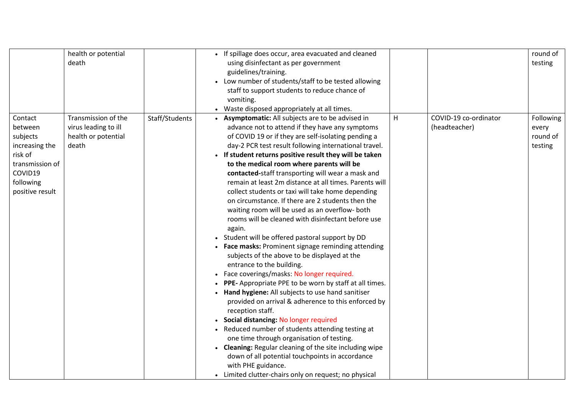|                                                                                                                           | health or potential<br>death                                                |                | If spillage does occur, area evacuated and cleaned<br>using disinfectant as per government<br>guidelines/training.<br>Low number of students/staff to be tested allowing<br>staff to support students to reduce chance of<br>vomiting.<br>Waste disposed appropriately at all times.                                                                                                                                                                                                                                                                                                                                                                                                                                                                                                                                                                                                                                                                                                                                                                                                                                                                                                                                                                                                                                                                                                                                                |   |                                        | round of<br>testing                       |
|---------------------------------------------------------------------------------------------------------------------------|-----------------------------------------------------------------------------|----------------|-------------------------------------------------------------------------------------------------------------------------------------------------------------------------------------------------------------------------------------------------------------------------------------------------------------------------------------------------------------------------------------------------------------------------------------------------------------------------------------------------------------------------------------------------------------------------------------------------------------------------------------------------------------------------------------------------------------------------------------------------------------------------------------------------------------------------------------------------------------------------------------------------------------------------------------------------------------------------------------------------------------------------------------------------------------------------------------------------------------------------------------------------------------------------------------------------------------------------------------------------------------------------------------------------------------------------------------------------------------------------------------------------------------------------------------|---|----------------------------------------|-------------------------------------------|
| Contact<br>between<br>subjects<br>increasing the<br>risk of<br>transmission of<br>COVID19<br>following<br>positive result | Transmission of the<br>virus leading to ill<br>health or potential<br>death | Staff/Students | Asymptomatic: All subjects are to be advised in<br>advance not to attend if they have any symptoms<br>of COVID 19 or if they are self-isolating pending a<br>day-2 PCR test result following international travel.<br>If student returns positive result they will be taken<br>to the medical room where parents will be<br>contacted-staff transporting will wear a mask and<br>remain at least 2m distance at all times. Parents will<br>collect students or taxi will take home depending<br>on circumstance. If there are 2 students then the<br>waiting room will be used as an overflow- both<br>rooms will be cleaned with disinfectant before use<br>again.<br>Student will be offered pastoral support by DD<br>Face masks: Prominent signage reminding attending<br>subjects of the above to be displayed at the<br>entrance to the building.<br>Face coverings/masks: No longer required.<br>PPE- Appropriate PPE to be worn by staff at all times.<br>Hand hygiene: All subjects to use hand sanitiser<br>provided on arrival & adherence to this enforced by<br>reception staff.<br>Social distancing: No longer required<br>Reduced number of students attending testing at<br>one time through organisation of testing.<br>• Cleaning: Regular cleaning of the site including wipe<br>down of all potential touchpoints in accordance<br>with PHE guidance.<br>• Limited clutter-chairs only on request; no physical | H | COVID-19 co-ordinator<br>(headteacher) | Following<br>every<br>round of<br>testing |